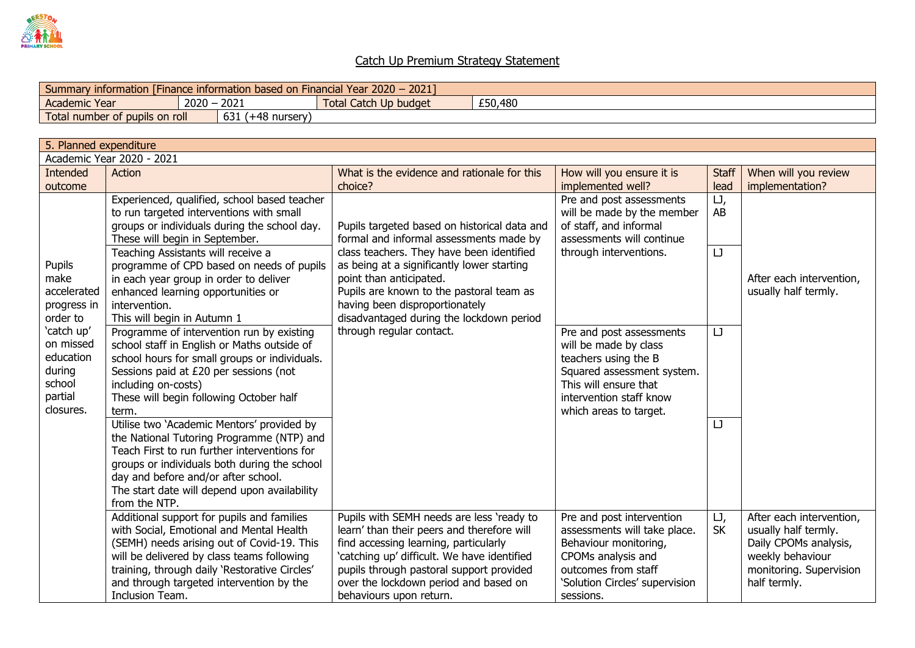

## Catch Up Premium Strategy Statement

| 2021<br>$2020 -$<br>Year.<br>information<br>Financial<br>I Finance information based on I<br><b>Summary</b> |      |               |                              |  |         |  |  |  |  |
|-------------------------------------------------------------------------------------------------------------|------|---------------|------------------------------|--|---------|--|--|--|--|
| <b>Academic Year</b>                                                                                        | 2020 | 2021          | I Catch Up budget<br>rotal C |  | £50,480 |  |  |  |  |
| 631<br>Total number of pupils on roll                                                                       |      | (+48 nursery) |                              |  |         |  |  |  |  |

| 5. Planned expenditure                                                           |                                                                                                                                                                                                                                                                                                    |                                                                                                                                                                                                                                                                                                 |                                                                                                                                                                                       |                  |                                                                                                                                          |  |  |  |  |  |  |
|----------------------------------------------------------------------------------|----------------------------------------------------------------------------------------------------------------------------------------------------------------------------------------------------------------------------------------------------------------------------------------------------|-------------------------------------------------------------------------------------------------------------------------------------------------------------------------------------------------------------------------------------------------------------------------------------------------|---------------------------------------------------------------------------------------------------------------------------------------------------------------------------------------|------------------|------------------------------------------------------------------------------------------------------------------------------------------|--|--|--|--|--|--|
| Academic Year 2020 - 2021                                                        |                                                                                                                                                                                                                                                                                                    |                                                                                                                                                                                                                                                                                                 |                                                                                                                                                                                       |                  |                                                                                                                                          |  |  |  |  |  |  |
| Intended                                                                         | Action                                                                                                                                                                                                                                                                                             | What is the evidence and rationale for this                                                                                                                                                                                                                                                     | How will you ensure it is                                                                                                                                                             | <b>Staff</b>     | When will you review                                                                                                                     |  |  |  |  |  |  |
| outcome                                                                          |                                                                                                                                                                                                                                                                                                    | choice?                                                                                                                                                                                                                                                                                         | implemented well?                                                                                                                                                                     | lead             | implementation?                                                                                                                          |  |  |  |  |  |  |
|                                                                                  | Experienced, qualified, school based teacher<br>to run targeted interventions with small<br>groups or individuals during the school day.<br>These will begin in September.                                                                                                                         | Pupils targeted based on historical data and<br>formal and informal assessments made by                                                                                                                                                                                                         | Pre and post assessments<br>will be made by the member<br>of staff, and informal<br>assessments will continue                                                                         | IJ,<br>AB        |                                                                                                                                          |  |  |  |  |  |  |
| Pupils<br>make<br>accelerated<br>progress in<br>order to                         | Teaching Assistants will receive a<br>programme of CPD based on needs of pupils<br>in each year group in order to deliver<br>enhanced learning opportunities or<br>intervention.<br>This will begin in Autumn 1                                                                                    | class teachers. They have been identified<br>as being at a significantly lower starting<br>point than anticipated.<br>Pupils are known to the pastoral team as<br>having been disproportionately<br>disadvantaged during the lockdown period                                                    | through interventions.                                                                                                                                                                | IJ               | After each intervention,<br>usually half termly.                                                                                         |  |  |  |  |  |  |
| 'catch up'<br>on missed<br>education<br>during<br>school<br>partial<br>closures. | Programme of intervention run by existing<br>school staff in English or Maths outside of<br>school hours for small groups or individuals.<br>Sessions paid at £20 per sessions (not<br>including on-costs)<br>These will begin following October half<br>term.                                     | through regular contact.                                                                                                                                                                                                                                                                        | Pre and post assessments<br>will be made by class<br>teachers using the B<br>Squared assessment system.<br>This will ensure that<br>intervention staff know<br>which areas to target. | IJ               |                                                                                                                                          |  |  |  |  |  |  |
|                                                                                  | Utilise two 'Academic Mentors' provided by<br>the National Tutoring Programme (NTP) and<br>Teach First to run further interventions for<br>groups or individuals both during the school<br>day and before and/or after school.<br>The start date will depend upon availability<br>from the NTP.    |                                                                                                                                                                                                                                                                                                 |                                                                                                                                                                                       | IJ               |                                                                                                                                          |  |  |  |  |  |  |
|                                                                                  | Additional support for pupils and families<br>with Social, Emotional and Mental Health<br>(SEMH) needs arising out of Covid-19. This<br>will be delivered by class teams following<br>training, through daily 'Restorative Circles'<br>and through targeted intervention by the<br>Inclusion Team. | Pupils with SEMH needs are less 'ready to<br>learn' than their peers and therefore will<br>find accessing learning, particularly<br>'catching up' difficult. We have identified<br>pupils through pastoral support provided<br>over the lockdown period and based on<br>behaviours upon return. | Pre and post intervention<br>assessments will take place.<br>Behaviour monitoring,<br>CPOMs analysis and<br>outcomes from staff<br>'Solution Circles' supervision<br>sessions.        | IJ,<br><b>SK</b> | After each intervention,<br>usually half termly.<br>Daily CPOMs analysis,<br>weekly behaviour<br>monitoring. Supervision<br>half termly. |  |  |  |  |  |  |